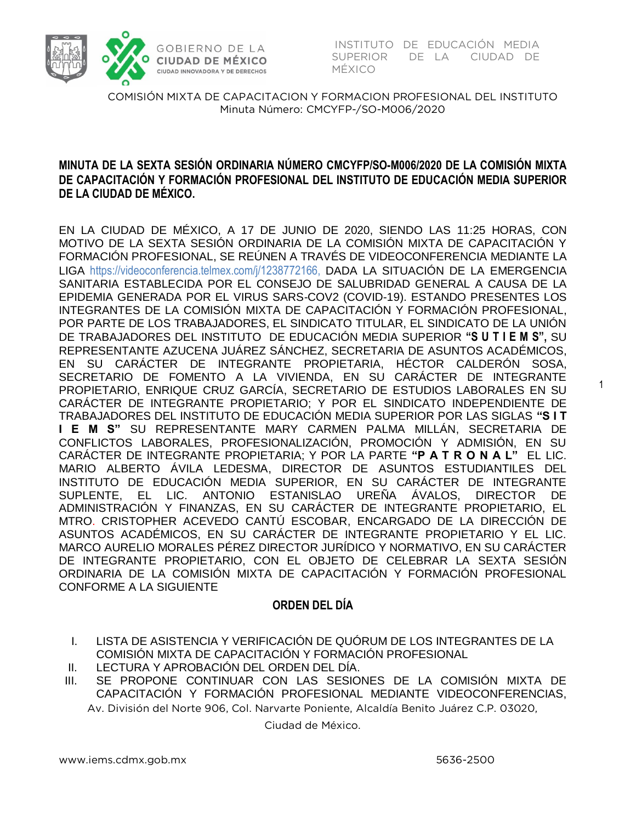

INSTITUTO DE EDUCACIÓN MEDIA<br>SUPERIOR DE LA CIUDAD DE MÉXICO

COMISIÓN MIXTA DE CAPACITACION Y FORMACION PROFESIONAL DEL INSTITUTO  $M<sub>1</sub>$  Minutes  $M<sub>2</sub>$  and  $M<sub>2</sub>$  and  $M<sub>2</sub>$  and  $M<sub>2</sub>$  and  $M<sub>2</sub>$ 

#### **MINUTA DE LA SEXTA SESIÓN ORDINARIA NÚMERO CMCYFP/SO-M006/2020 DE LA COMISIÓN MIXTA DE CAPACITACIÓN Y FORMACIÓN PROFESIONAL DEL INSTITUTO DE EDUCACIÓN MEDIA SUPERIOR DE LA CIUDAD DE MÉXICO.**

EN LA CIUDAD DE MÉXICO, A 17 DE JUNIO DE 2020, SIENDO LAS 11:25 HORAS, CON MOTIVO DE LA SEXTA SESIÓN ORDINARIA DE LA COMISIÓN MIXTA DE CAPACITACIÓN Y FORMACIÓN PROFESIONAL, SE REÚNEN A TRAVÉS DE VIDEOCONFERENCIA MEDIANTE LA LIGA https://videoconferencia.telmex.com/j/1238772166, DADA LA SITUACIÓN DE LA EMERGENCIA SANITARIA ESTABLECIDA POR EL CONSEJO DE SALUBRIDAD GENERAL A CAUSA DE LA EPIDEMIA GENERADA POR EL VIRUS SARS-COV2 (COVID-19). ESTANDO PRESENTES LOS INTEGRANTES DE LA COMISIÓN MIXTA DE CAPACITACIÓN Y FORMACIÓN PROFESIONAL, POR PARTE DE LOS TRABAJADORES, EL SINDICATO TITULAR, EL SINDICATO DE LA UNIÓN DE TRABAJADORES DEL INSTITUTO DE EDUCACIÓN MEDIA SUPERIOR **"S U T I E M S",** SU REPRESENTANTE AZUCENA JUÁREZ SÁNCHEZ, SECRETARIA DE ASUNTOS ACADÉMICOS, EN SU CARÁCTER DE INTEGRANTE PROPIETARIA, HÉCTOR CALDERÓN SOSA, SECRETARIO DE FOMENTO A LA VIVIENDA, EN SU CARÁCTER DE INTEGRANTE PROPIETARIO, ENRIQUE CRUZ GARCÍA, SECRETARIO DE ESTUDIOS LABORALES EN SU CARÁCTER DE INTEGRANTE PROPIETARIO; Y POR EL SINDICATO INDEPENDIENTE DE TRABAJADORES DEL INSTITUTO DE EDUCACIÓN MEDIA SUPERIOR POR LAS SIGLAS **"S I T I E M S"** SU REPRESENTANTE MARY CARMEN PALMA MILLÁN, SECRETARIA DE CONFLICTOS LABORALES, PROFESIONALIZACIÓN, PROMOCIÓN Y ADMISIÓN, EN SU CARÁCTER DE INTEGRANTE PROPIETARIA; Y POR LA PARTE **"P A T R O N A L"** EL LIC. MARIO ALBERTO ÁVILA LEDESMA, DIRECTOR DE ASUNTOS ESTUDIANTILES DEL INSTITUTO DE EDUCACIÓN MEDIA SUPERIOR, EN SU CARÁCTER DE INTEGRANTE SUPLENTE, EL LIC. ANTONIO ESTANISLAO UREÑA ÁVALOS, DIRECTOR DE ADMINISTRACIÓN Y FINANZAS, EN SU CARÁCTER DE INTEGRANTE PROPIETARIO, EL MTRO. CRISTOPHER ACEVEDO CANTÚ ESCOBAR, ENCARGADO DE LA DIRECCIÓN DE ASUNTOS ACADÉMICOS, EN SU CARÁCTER DE INTEGRANTE PROPIETARIO Y EL LIC. MARCO AURELIO MORALES PÉREZ DIRECTOR JURÍDICO Y NORMATIVO, EN SU CARÁCTER DE INTEGRANTE PROPIETARIO, CON EL OBJETO DE CELEBRAR LA SEXTA SESIÓN ORDINARIA DE LA COMISIÓN MIXTA DE CAPACITACIÓN Y FORMACIÓN PROFESIONAL CONFORME A LA SIGUIENTE

#### **ORDEN DEL DÍA**

- I. LISTA DE ASISTENCIA Y VERIFICACIÓN DE QUÓRUM DE LOS INTEGRANTES DE LA COMISIÓN MIXTA DE CAPACITACIÓN Y FORMACIÓN PROFESIONAL
- II. LECTURA Y APROBACIÓN DEL ORDEN DEL DÍA.

Av. División del Norte 906, Col. Narvarte Poniente, Alcaldía Benito Juárez C.P. 03020, III. SE PROPONE CONTINUAR CON LAS SESIONES DE LA COMISIÓN MIXTA DE CAPACITACIÓN Y FORMACIÓN PROFESIONAL MEDIANTE VIDEOCONFERENCIAS,

Ciudad de México.

1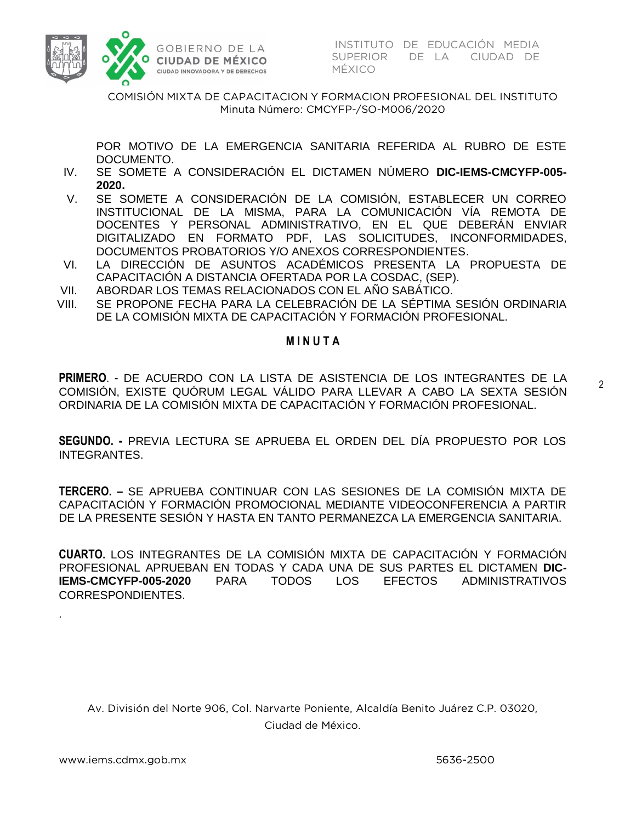

INSTITUTO DE EDUCACIÓN MEDIA<br>SUPERIOR - DE LA - CIUDAD DE MÉXICO

COMISIÓN MIXTA DE CAPACITACION Y FORMACION PROFESIONAL DEL INSTITUTO  $M<sub>1</sub>$  Minutes  $M<sub>2</sub>$  and  $M<sub>2</sub>$  and  $M<sub>2</sub>$  and  $M<sub>2</sub>$  and  $M<sub>2</sub>$ 

 POR MOTIVO DE LA EMERGENCIA SANITARIA REFERIDA AL RUBRO DE ESTE DOCUMENTO.

- IV. SE SOMETE A CONSIDERACIÓN EL DICTAMEN NÚMERO **DIC-IEMS-CMCYFP-005- 2020.**
- V. SE SOMETE A CONSIDERACIÓN DE LA COMISIÓN, ESTABLECER UN CORREO INSTITUCIONAL DE LA MISMA, PARA LA COMUNICACIÓN VÍA REMOTA DE DOCENTES Y PERSONAL ADMINISTRATIVO, EN EL QUE DEBERÁN ENVIAR DIGITALIZADO EN FORMATO PDF, LAS SOLICITUDES, INCONFORMIDADES, DOCUMENTOS PROBATORIOS Y/O ANEXOS CORRESPONDIENTES.
- VI. LA DIRECCIÓN DE ASUNTOS ACADÉMICOS PRESENTA LA PROPUESTA DE CAPACITACIÓN A DISTANCIA OFERTADA POR LA COSDAC, (SEP).
- VII. ABORDAR LOS TEMAS RELACIONADOS CON EL AÑO SABÁTICO.
- VIII. SE PROPONE FECHA PARA LA CELEBRACIÓN DE LA SÉPTIMA SESIÓN ORDINARIA DE LA COMISIÓN MIXTA DE CAPACITACIÓN Y FORMACIÓN PROFESIONAL.

#### **M I N U T A**

**PRIMERO**. - DE ACUERDO CON LA LISTA DE ASISTENCIA DE LOS INTEGRANTES DE LA COMISIÓN, EXISTE QUÓRUM LEGAL VÁLIDO PARA LLEVAR A CABO LA SEXTA SESIÓN ORDINARIA DE LA COMISIÓN MIXTA DE CAPACITACIÓN Y FORMACIÓN PROFESIONAL.

**SEGUNDO. -** PREVIA LECTURA SE APRUEBA EL ORDEN DEL DÍA PROPUESTO POR LOS INTEGRANTES.

**TERCERO. –** SE APRUEBA CONTINUAR CON LAS SESIONES DE LA COMISIÓN MIXTA DE CAPACITACIÓN Y FORMACIÓN PROMOCIONAL MEDIANTE VIDEOCONFERENCIA A PARTIR DE LA PRESENTE SESIÓN Y HASTA EN TANTO PERMANEZCA LA EMERGENCIA SANITARIA.

**CUARTO.** LOS INTEGRANTES DE LA COMISIÓN MIXTA DE CAPACITACIÓN Y FORMACIÓN PROFESIONAL APRUEBAN EN TODAS Y CADA UNA DE SUS PARTES EL DICTAMEN **DIC-IEMS-CMCYFP-005-2020** PARA TODOS LOS EFECTOS ADMINISTRATIVOS CORRESPONDIENTES.

Av. División del Norte 906, Col. Narvarte Poniente, Alcaldía Benito Juárez C.P. 03020, Ciudad de México.

.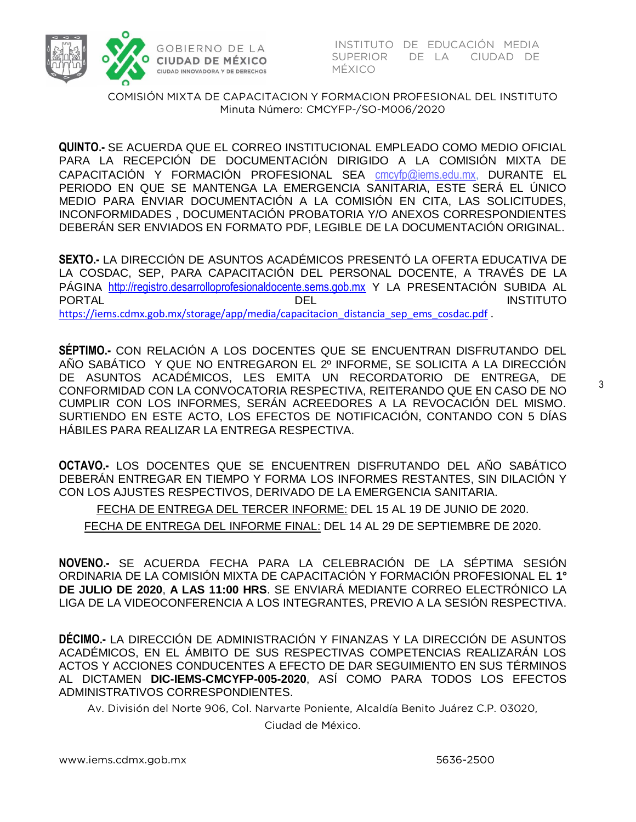

INSTITUTO DE EDUCACIÓN MEDIA SUPERIOR DE LA CIUDAD DE MÉXICO

COMISIÓN MIXTA DE CAPACITACION Y FORMACION PROFESIONAL DEL INSTITUTO  $M<sub>1</sub>$  Minutes  $M<sub>2</sub>$  and  $M<sub>2</sub>$  and  $M<sub>2</sub>$  and  $M<sub>2</sub>$  and  $M<sub>2</sub>$ 

 **QUINTO.-** SE ACUERDA QUE EL CORREO INSTITUCIONAL EMPLEADO COMO MEDIO OFICIAL PARA LA RECEPCIÓN DE DOCUMENTACIÓN DIRIGIDO A LA COMISIÓN MIXTA DE CAPACITACIÓN Y FORMACIÓN PROFESIONAL SEA [cmcyfp@iems.edu.mx,](mailto:cmcyfp@iems.edu.mx) DURANTE EL PERIODO EN QUE SE MANTENGA LA EMERGENCIA SANITARIA, ESTE SERÁ EL ÚNICO MEDIO PARA ENVIAR DOCUMENTACIÓN A LA COMISIÓN EN CITA, LAS SOLICITUDES, INCONFORMIDADES , DOCUMENTACIÓN PROBATORIA Y/O ANEXOS CORRESPONDIENTES DEBERÁN SER ENVIADOS EN FORMATO PDF, LEGIBLE DE LA DOCUMENTACIÓN ORIGINAL.

**SEXTO.-** LA DIRECCIÓN DE ASUNTOS ACADÉMICOS PRESENTÓ LA OFERTA EDUCATIVA DE LA COSDAC, SEP, PARA CAPACITACIÓN DEL PERSONAL DOCENTE, A TRAVÉS DE LA PÁGINA [http://registro.desarrolloprofesionaldocente.sems.gob.mx](http://registro.desarrolloprofesionaldocente.sems.gob.mx/) Y LA PRESENTACIÓN SUBIDA AL PORTAL DEL INSTITUTO [https://iems.cdmx.gob.mx/storage/app/media/capacitacion\\_distancia\\_sep\\_ems\\_cosdac.pdf](https://iems.cdmx.gob.mx/storage/app/media/capacitacion_distancia_sep_ems_cosdac.pdf) .

**SÉPTIMO.-** CON RELACIÓN A LOS DOCENTES QUE SE ENCUENTRAN DISFRUTANDO DEL AÑO SABÁTICO Y QUE NO ENTREGARON EL 2º INFORME, SE SOLICITA A LA DIRECCIÓN DE ASUNTOS ACADÉMICOS, LES EMITA UN RECORDATORIO DE ENTREGA, DE CONFORMIDAD CON LA CONVOCATORIA RESPECTIVA, REITERANDO QUE EN CASO DE NO CUMPLIR CON LOS INFORMES, SERÁN ACREEDORES A LA REVOCACIÓN DEL MISMO. SURTIENDO EN ESTE ACTO, LOS EFECTOS DE NOTIFICACIÓN, CONTANDO CON 5 DÍAS HÁBILES PARA REALIZAR LA ENTREGA RESPECTIVA.

**OCTAVO.-** LOS DOCENTES QUE SE ENCUENTREN DISFRUTANDO DEL AÑO SABÁTICO DEBERÁN ENTREGAR EN TIEMPO Y FORMA LOS INFORMES RESTANTES, SIN DILACIÓN Y CON LOS AJUSTES RESPECTIVOS, DERIVADO DE LA EMERGENCIA SANITARIA.

FECHA DE ENTREGA DEL TERCER INFORME: DEL 15 AL 19 DE JUNIO DE 2020.

FECHA DE ENTREGA DEL INFORME FINAL: DEL 14 AL 29 DE SEPTIEMBRE DE 2020.

**NOVENO.-** SE ACUERDA FECHA PARA LA CELEBRACIÓN DE LA SÉPTIMA SESIÓN ORDINARIA DE LA COMISIÓN MIXTA DE CAPACITACIÓN Y FORMACIÓN PROFESIONAL EL **1° DE JULIO DE 2020**, **A LAS 11:00 HRS**. SE ENVIARÁ MEDIANTE CORREO ELECTRÓNICO LA LIGA DE LA VIDEOCONFERENCIA A LOS INTEGRANTES, PREVIO A LA SESIÓN RESPECTIVA.

**DÉCIMO.-** LA DIRECCIÓN DE ADMINISTRACIÓN Y FINANZAS Y LA DIRECCIÓN DE ASUNTOS ACADÉMICOS, EN EL ÁMBITO DE SUS RESPECTIVAS COMPETENCIAS REALIZARÁN LOS ACTOS Y ACCIONES CONDUCENTES A EFECTO DE DAR SEGUIMIENTO EN SUS TÉRMINOS AL DICTAMEN **DIC-IEMS-CMCYFP-005-2020**, ASÍ COMO PARA TODOS LOS EFECTOS ADMINISTRATIVOS CORRESPONDIENTES.

Av. División del Norte 906, Col. Narvarte Poniente, Alcaldía Benito Juárez C.P. 03020,

Ciudad de México.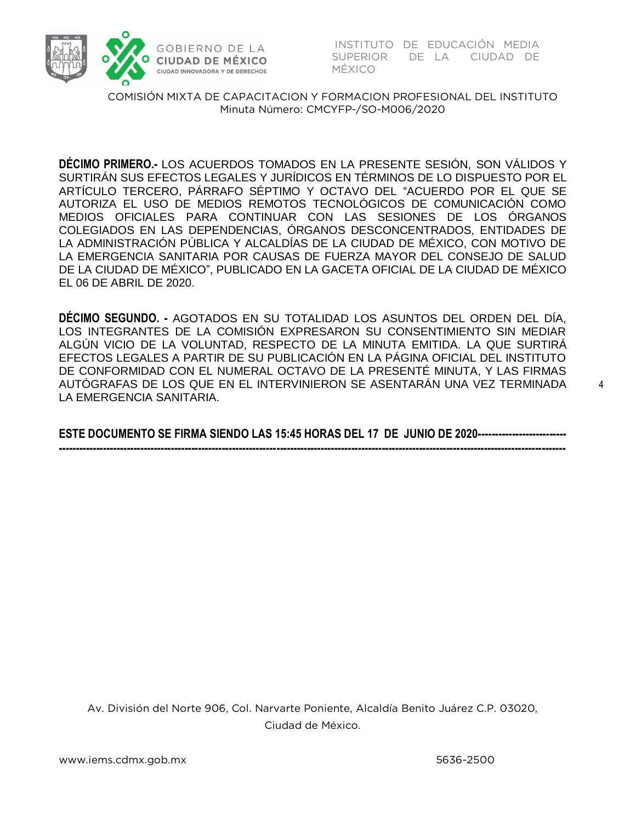

SUPERIOR DE LA CIUDAD DE MÉXICO

COMISIÓN MIXTA DE CAPACITACION Y FORMACION PROFESIONAL DEL INSTITUTO  $M<sub>1</sub>$  Minutes  $M<sub>2</sub>$  and  $M<sub>2</sub>$  and  $M<sub>2</sub>$  and  $M<sub>2</sub>$  and  $M<sub>2</sub>$ 

**DÉCIMO PRIMERO.-** LOS ACUERDOS TOMADOS EN LA PRESENTE SESIÓN, SON VÁLIDOS Y SURTIRÁN SUS EFECTOS LEGALES Y JURÍDICOS EN TÉRMINOS DE LO DISPUESTO POR EL ARTÍCULO TERCERO, PÁRRAFO SÉPTIMO Y OCTAVO DEL "ACUERDO POR EL QUE SE AUTORIZA EL USO DE MEDIOS REMOTOS TECNOLÓGICOS DE COMUNICACIÓN COMO MEDIOS OFICIALES PARA CONTINUAR CON LAS SESIONES DE LOS ÓRGANOS COLEGIADOS EN LAS DEPENDENCIAS, ÓRGANOS DESCONCENTRADOS, ENTIDADES DE LA ADMINISTRACIÓN PÚBLICA Y ALCALDÍAS DE LA CIUDAD DE MÉXICO, CON MOTIVO DE LA EMERGENCIA SANITARIA POR CAUSAS DE FUERZA MAYOR DEL CONSEJO DE SALUD DE LA CIUDAD DE MÉXICO", PUBLICADO EN LA GACETA OFICIAL DE LA CIUDAD DE MÉXICO EL 06 DE ABRIL DE 2020.

**DÉCIMO SEGUNDO. -** AGOTADOS EN SU TOTALIDAD LOS ASUNTOS DEL ORDEN DEL DÍA, LOS INTEGRANTES DE LA COMISIÓN EXPRESARON SU CONSENTIMIENTO SIN MEDIAR ALGÚN VICIO DE LA VOLUNTAD, RESPECTO DE LA MINUTA EMITIDA. LA QUE SURTIRÁ EFECTOS LEGALES A PARTIR DE SU PUBLICACIÓN EN LA PÁGINA OFICIAL DEL INSTITUTO DE CONFORMIDAD CON EL NUMERAL OCTAVO DE LA PRESENTÉ MINUTA, Y LAS FIRMAS AUTÓGRAFAS DE LOS QUE EN EL INTERVINIERON SE ASENTARÁN UNA VEZ TERMINADA LA EMERGENCIA SANITARIA.

**ESTE DOCUMENTO SE FIRMA SIENDO LAS 15:45 HORAS DEL 17 DE JUNIO DE 2020-------------------------- -----------------------------------------------------------------------------------------------------------------------------------------------------**

Av. División del Norte 906, Col. Narvarte Poniente, Alcaldía Benito Juárez C.P. 03020, Ciudad de México.

4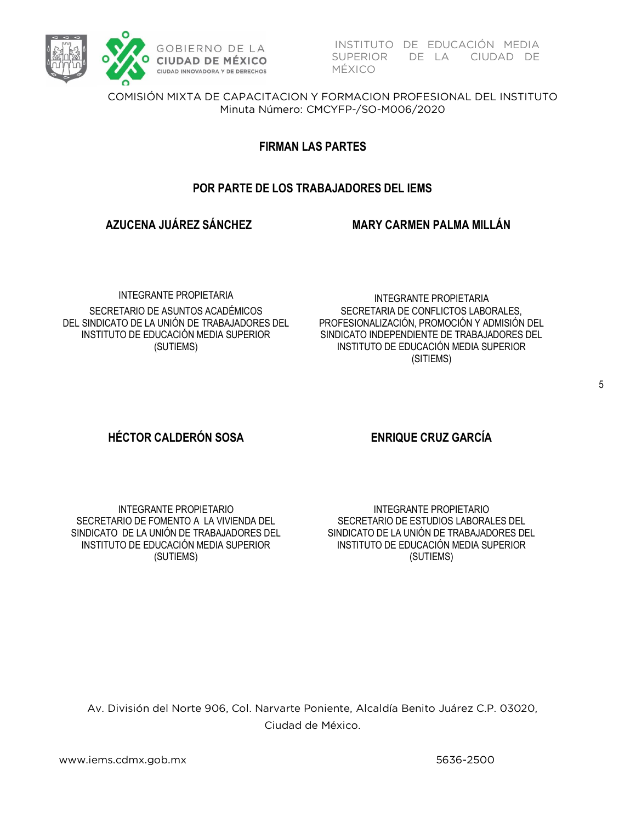

INSTITUTO DE EDUCACIÓN MEDIA<br>SUPERIOR DE LA CIUDAD DE MÉXICO

COMISIÓN MIXTA DE CAPACITACION Y FORMACION PROFESIONAL DEL INSTITUTO  $M<sub>1</sub>$  Minutes  $M<sub>2</sub>$  and  $M<sub>2</sub>$  and  $M<sub>2</sub>$  and  $M<sub>2</sub>$  and  $M<sub>2</sub>$ 

### **FIRMAN LAS PARTES**

# **POR PARTE DE LOS TRABAJADORES DEL IEMS**

# **AZUCENA JUÁREZ SÁNCHEZ**

**MARY CARMEN PALMA MILLÁN**

INTEGRANTE PROPIETARIA SECRETARIO DE ASUNTOS ACADÉMICOS DEL SINDICATO DE LA UNIÓN DE TRABAJADORES DEL INSTITUTO DE EDUCACIÓN MEDIA SUPERIOR (SUTIEMS)

INTEGRANTE PROPIETARIA SECRETARIA DE CONFLICTOS LABORALES, PROFESIONALIZACIÓN, PROMOCIÓN Y ADMISIÓN DEL SINDICATO INDEPENDIENTE DE TRABAJADORES DEL INSTITUTO DE EDUCACIÓN MEDIA SUPERIOR (SITIEMS)

# **HÉCTOR CALDERÓN SOSA ENRIQUE CRUZ GARCÍA**

INTEGRANTE PROPIETARIO SECRETARIO DE FOMENTO A LA VIVIENDA DEL SINDICATO DE LA UNIÓN DE TRABAJADORES DEL INSTITUTO DE EDUCACIÓN MEDIA SUPERIOR (SUTIEMS)

INTEGRANTE PROPIETARIO SECRETARIO DE ESTUDIOS LABORALES DEL SINDICATO DE LA UNIÓN DE TRABAJADORES DEL INSTITUTO DE EDUCACIÓN MEDIA SUPERIOR (SUTIEMS)

Av. División del Norte 906, Col. Narvarte Poniente, Alcaldía Benito Juárez C.P. 03020, Ciudad de México.